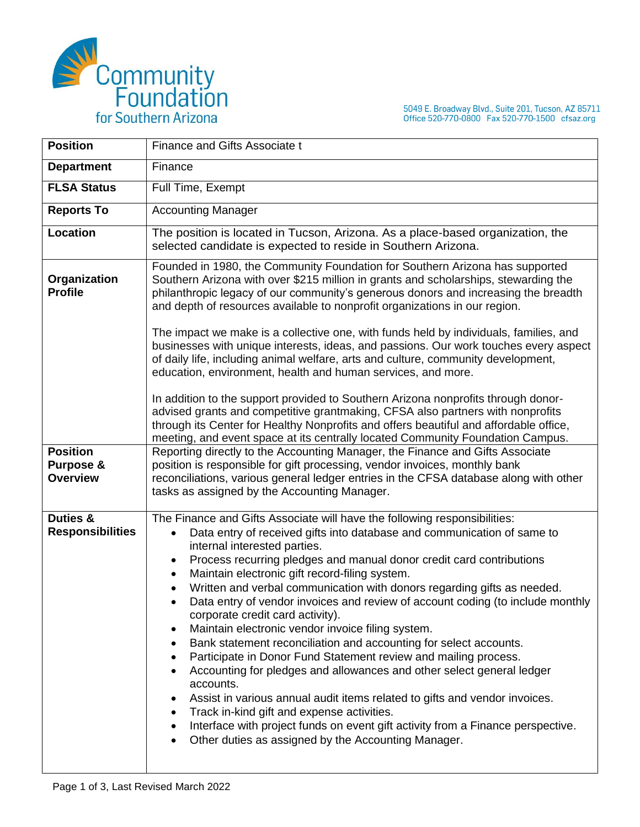

5049 E. Broadway Blvd., Suite 201, Tucson, AZ 85711<br>Office 520-770-0800 Fax 520-770-1500 cfsaz.org

| <b>Position</b>                                 | Finance and Gifts Associate t                                                                                                                                                                                                                                                                                                                                                                                                                                                                                                                                                                                                                                                                                                                                                                                                                                                                                                                                                                                                                                                                      |
|-------------------------------------------------|----------------------------------------------------------------------------------------------------------------------------------------------------------------------------------------------------------------------------------------------------------------------------------------------------------------------------------------------------------------------------------------------------------------------------------------------------------------------------------------------------------------------------------------------------------------------------------------------------------------------------------------------------------------------------------------------------------------------------------------------------------------------------------------------------------------------------------------------------------------------------------------------------------------------------------------------------------------------------------------------------------------------------------------------------------------------------------------------------|
| <b>Department</b>                               | Finance                                                                                                                                                                                                                                                                                                                                                                                                                                                                                                                                                                                                                                                                                                                                                                                                                                                                                                                                                                                                                                                                                            |
| <b>FLSA Status</b>                              | Full Time, Exempt                                                                                                                                                                                                                                                                                                                                                                                                                                                                                                                                                                                                                                                                                                                                                                                                                                                                                                                                                                                                                                                                                  |
| <b>Reports To</b>                               | <b>Accounting Manager</b>                                                                                                                                                                                                                                                                                                                                                                                                                                                                                                                                                                                                                                                                                                                                                                                                                                                                                                                                                                                                                                                                          |
| <b>Location</b>                                 | The position is located in Tucson, Arizona. As a place-based organization, the<br>selected candidate is expected to reside in Southern Arizona.                                                                                                                                                                                                                                                                                                                                                                                                                                                                                                                                                                                                                                                                                                                                                                                                                                                                                                                                                    |
| Organization<br><b>Profile</b>                  | Founded in 1980, the Community Foundation for Southern Arizona has supported<br>Southern Arizona with over \$215 million in grants and scholarships, stewarding the<br>philanthropic legacy of our community's generous donors and increasing the breadth<br>and depth of resources available to nonprofit organizations in our region.                                                                                                                                                                                                                                                                                                                                                                                                                                                                                                                                                                                                                                                                                                                                                            |
|                                                 | The impact we make is a collective one, with funds held by individuals, families, and<br>businesses with unique interests, ideas, and passions. Our work touches every aspect<br>of daily life, including animal welfare, arts and culture, community development,<br>education, environment, health and human services, and more.                                                                                                                                                                                                                                                                                                                                                                                                                                                                                                                                                                                                                                                                                                                                                                 |
|                                                 | In addition to the support provided to Southern Arizona nonprofits through donor-<br>advised grants and competitive grantmaking, CFSA also partners with nonprofits<br>through its Center for Healthy Nonprofits and offers beautiful and affordable office,<br>meeting, and event space at its centrally located Community Foundation Campus.                                                                                                                                                                                                                                                                                                                                                                                                                                                                                                                                                                                                                                                                                                                                                     |
| <b>Position</b><br>Purpose &<br><b>Overview</b> | Reporting directly to the Accounting Manager, the Finance and Gifts Associate<br>position is responsible for gift processing, vendor invoices, monthly bank<br>reconciliations, various general ledger entries in the CFSA database along with other<br>tasks as assigned by the Accounting Manager.                                                                                                                                                                                                                                                                                                                                                                                                                                                                                                                                                                                                                                                                                                                                                                                               |
| Duties &<br><b>Responsibilities</b>             | The Finance and Gifts Associate will have the following responsibilities:<br>Data entry of received gifts into database and communication of same to<br>$\bullet$<br>internal interested parties.<br>Process recurring pledges and manual donor credit card contributions<br>$\bullet$<br>Maintain electronic gift record-filing system.<br>Written and verbal communication with donors regarding gifts as needed.<br>Data entry of vendor invoices and review of account coding (to include monthly<br>corporate credit card activity).<br>Maintain electronic vendor invoice filing system.<br>Bank statement reconciliation and accounting for select accounts.<br>Participate in Donor Fund Statement review and mailing process.<br>Accounting for pledges and allowances and other select general ledger<br>accounts.<br>Assist in various annual audit items related to gifts and vendor invoices.<br>Track in-kind gift and expense activities.<br>Interface with project funds on event gift activity from a Finance perspective.<br>Other duties as assigned by the Accounting Manager. |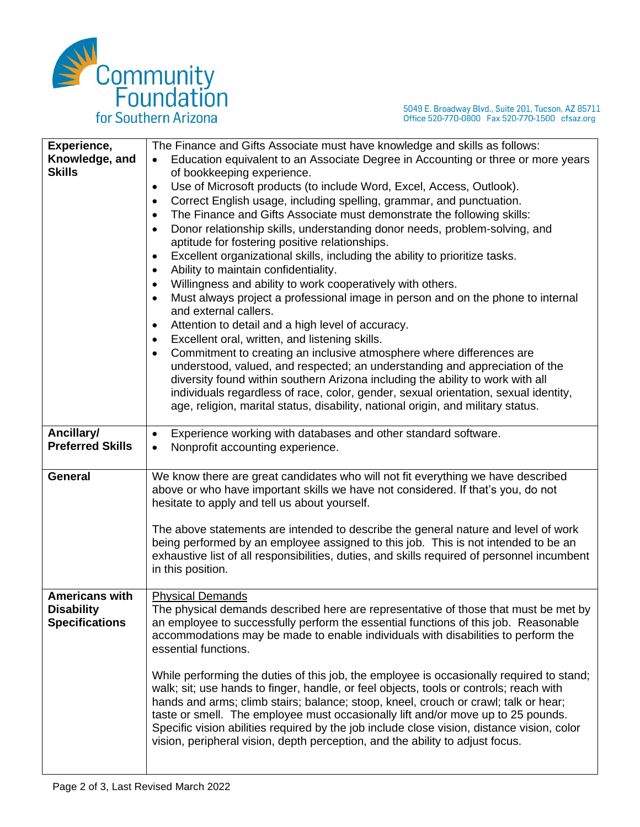

5049 E. Broadway Blvd., Suite 201, Tucson, AZ 85711<br>Office 520-770-0800 Fax 520-770-1500 cfsaz.org

| Experience,             | The Finance and Gifts Associate must have knowledge and skills as follows:                  |
|-------------------------|---------------------------------------------------------------------------------------------|
| Knowledge, and          | Education equivalent to an Associate Degree in Accounting or three or more years            |
| <b>Skills</b>           | of bookkeeping experience.                                                                  |
|                         | Use of Microsoft products (to include Word, Excel, Access, Outlook).<br>٠                   |
|                         | Correct English usage, including spelling, grammar, and punctuation.<br>٠                   |
|                         | The Finance and Gifts Associate must demonstrate the following skills:<br>$\bullet$         |
|                         | Donor relationship skills, understanding donor needs, problem-solving, and<br>٠             |
|                         | aptitude for fostering positive relationships.                                              |
|                         | Excellent organizational skills, including the ability to prioritize tasks.<br>٠            |
|                         | Ability to maintain confidentiality.<br>٠                                                   |
|                         | Willingness and ability to work cooperatively with others.<br>٠                             |
|                         | Must always project a professional image in person and on the phone to internal             |
|                         | and external callers.                                                                       |
|                         | Attention to detail and a high level of accuracy.<br>٠                                      |
|                         | Excellent oral, written, and listening skills.<br>٠                                         |
|                         | Commitment to creating an inclusive atmosphere where differences are                        |
|                         | understood, valued, and respected; an understanding and appreciation of the                 |
|                         | diversity found within southern Arizona including the ability to work with all              |
|                         | individuals regardless of race, color, gender, sexual orientation, sexual identity,         |
|                         | age, religion, marital status, disability, national origin, and military status.            |
|                         |                                                                                             |
| Ancillary/              | Experience working with databases and other standard software.<br>$\bullet$                 |
| <b>Preferred Skills</b> | Nonprofit accounting experience.<br>$\bullet$                                               |
|                         |                                                                                             |
| <b>General</b>          | We know there are great candidates who will not fit everything we have described            |
|                         | above or who have important skills we have not considered. If that's you, do not            |
|                         | hesitate to apply and tell us about yourself.                                               |
|                         |                                                                                             |
|                         | The above statements are intended to describe the general nature and level of work          |
|                         | being performed by an employee assigned to this job. This is not intended to be an          |
|                         | exhaustive list of all responsibilities, duties, and skills required of personnel incumbent |
|                         | in this position.                                                                           |
|                         |                                                                                             |
| <b>Americans with</b>   | <b>Physical Demands</b>                                                                     |
| <b>Disability</b>       | The physical demands described here are representative of those that must be met by         |
| <b>Specifications</b>   | an employee to successfully perform the essential functions of this job. Reasonable         |
|                         | accommodations may be made to enable individuals with disabilities to perform the           |
|                         | essential functions.                                                                        |
|                         |                                                                                             |
|                         | While performing the duties of this job, the employee is occasionally required to stand;    |
|                         | walk; sit; use hands to finger, handle, or feel objects, tools or controls; reach with      |
|                         | hands and arms; climb stairs; balance; stoop, kneel, crouch or crawl; talk or hear;         |
|                         | taste or smell. The employee must occasionally lift and/or move up to 25 pounds.            |
|                         | Specific vision abilities required by the job include close vision, distance vision, color  |
|                         | vision, peripheral vision, depth perception, and the ability to adjust focus.               |
|                         |                                                                                             |
|                         |                                                                                             |